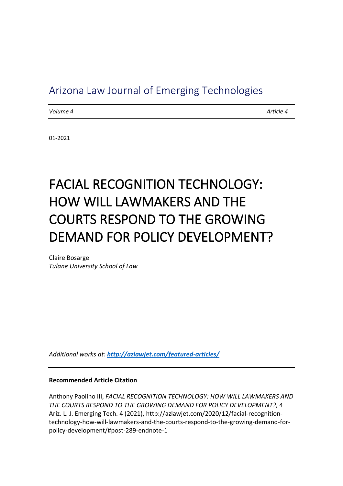# Arizona Law Journal of Emerging Technologies

*Volume 4 Article 4*

01-2021

# FACIAL RECOGNITION TECHNOLOGY: HOW WILL LAWMAKERS AND THE COURTS RESPOND TO THE GROWING DEMAND FOR POLICY DEVELOPMENT?

Claire Bosarge *Tulane University School of Law*

*Additional works at: <http://azlawjet.com/featured-articles/>*

#### **Recommended Article Citation**

Anthony Paolino III, *FACIAL RECOGNITION TECHNOLOGY: HOW WILL LAWMAKERS AND THE COURTS RESPOND TO THE GROWING DEMAND FOR POLICY DEVELOPMENT?,* 4 Ariz. L. J. Emerging Tech. 4 (2021), http://azlawjet.com/2020/12/facial-recognitiontechnology-how-will-lawmakers-and-the-courts-respond-to-the-growing-demand-forpolicy-development/#post-289-endnote-1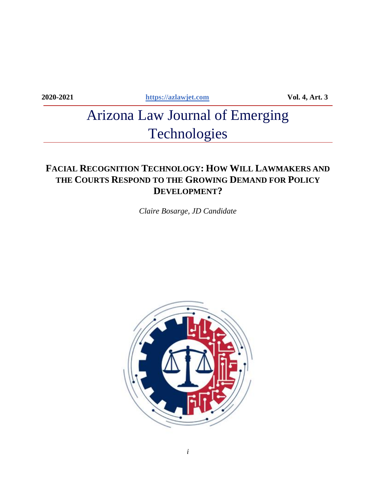**2020-2021 [https://azlawjet.com](https://azlawjet.com/) Vol. 4, Art. 3**

# Arizona Law Journal of Emerging Technologies

# **FACIAL RECOGNITION TECHNOLOGY: HOW WILL LAWMAKERS AND THE COURTS RESPOND TO THE GROWING DEMAND FOR POLICY DEVELOPMENT?**

*Claire Bosarge, JD Candidate*

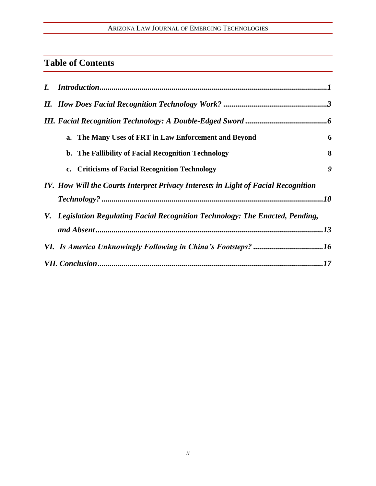# ARIZONA LAW JOURNAL OF EMERGING TECHNOLOGIES

# **Table of Contents**

| a. The Many Uses of FRT in Law Enforcement and Beyond                              | 6 |
|------------------------------------------------------------------------------------|---|
| b. The Fallibility of Facial Recognition Technology                                | 8 |
| c. Criticisms of Facial Recognition Technology                                     | 9 |
| IV. How Will the Courts Interpret Privacy Interests in Light of Facial Recognition |   |
|                                                                                    |   |
| V. Legislation Regulating Facial Recognition Technology: The Enacted, Pending,     |   |
|                                                                                    |   |
|                                                                                    |   |
|                                                                                    |   |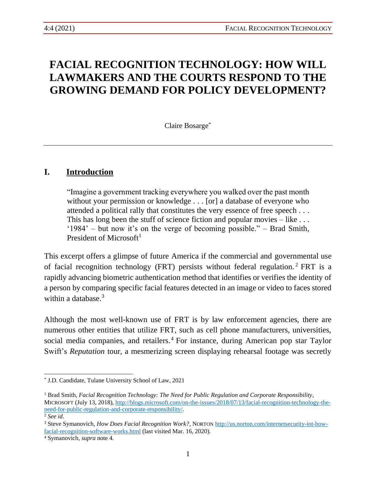# **FACIAL RECOGNITION TECHNOLOGY: HOW WILL LAWMAKERS AND THE COURTS RESPOND TO THE GROWING DEMAND FOR POLICY DEVELOPMENT?**

Claire Bosarge\*

## **I. Introduction**

"Imagine a government tracking everywhere you walked over the past month without your permission or knowledge . . . [or] a database of everyone who attended a political rally that constitutes the very essence of free speech . . . This has long been the stuff of science fiction and popular movies – like ... '1984' – but now it's on the verge of becoming possible." – Brad Smith, President of Microsoft<sup>1</sup>

This excerpt offers a glimpse of future America if the commercial and governmental use of facial recognition technology (FRT) persists without federal regulation. <sup>2</sup> FRT is a rapidly advancing biometric authentication method that identifies or verifies the identity of a person by comparing specific facial features detected in an image or video to faces stored within a database.<sup>3</sup>

Although the most well-known use of FRT is by law enforcement agencies, there are numerous other entities that utilize FRT, such as cell phone manufacturers, universities, social media companies, and retailers.<sup>4</sup> For instance, during American pop star Taylor Swift's *Reputation* tour, a mesmerizing screen displaying rehearsal footage was secretly

<sup>\*</sup> J.D. Candidate, Tulane University School of Law, 2021

<sup>1</sup> Brad Smith, *Facial Recognition Technology: The Need for Public Regulation and Corporate Responsibility*, MICROSOFT (July 13, 2018), [http://blogs.microsoft.com/on-the-issues/2018/07/13/facial-recognition-technology-the](http://blogs.microsoft.com/on-the-issues/2018/07/13/facial-recognition-technology-the-need-for-public-regulation-and-corporate-responsibility/)[need-for-public-regulation-and-corporate-responsibility/.](http://blogs.microsoft.com/on-the-issues/2018/07/13/facial-recognition-technology-the-need-for-public-regulation-and-corporate-responsibility/)

<sup>2</sup> *See id.*

<sup>3</sup> Steve Symanovich, *How Does Facial Recognition Work?*, NORTON [http://us.norton.com/internetsecurity-iot-how](http://us.norton.com/internetsecurity-iot-how-facial-recognition-software-works.html)[facial-recognition-software-works.html](http://us.norton.com/internetsecurity-iot-how-facial-recognition-software-works.html) (last visited Mar. 16, 2020).

<sup>4</sup> Symanovich, *supra* note 4.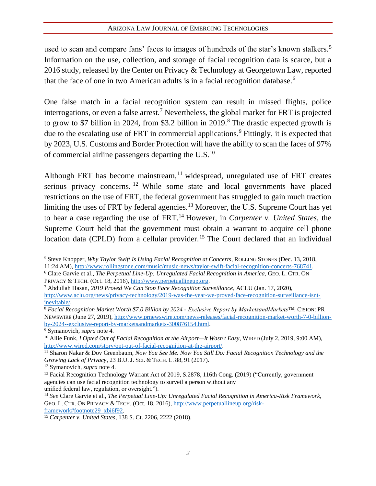#### ARIZONA LAW JOURNAL OF EMERGING TECHNOLOGIES

used to scan and compare fans' faces to images of hundreds of the star's known stalkers.<sup>5</sup> Information on the use, collection, and storage of facial recognition data is scarce, but a 2016 study, released by the Center on Privacy & Technology at Georgetown Law, reported that the face of one in two American adults is in a facial recognition database.<sup>6</sup>

One false match in a facial recognition system can result in missed flights, police interrogations, or even a false arrest.<sup>7</sup> Nevertheless, the global market for FRT is projected to grow to \$7 billion in 2024, from \$3.2 billion in  $2019$ .<sup>8</sup> The drastic expected growth is due to the escalating use of FRT in commercial applications.<sup>9</sup> Fittingly, it is expected that by 2023, U.S. Customs and Border Protection will have the ability to scan the faces of 97% of commercial airline passengers departing the  $U.S.<sup>10</sup>$ 

Although FRT has become mainstream,  $11$  widespread, unregulated use of FRT creates serious privacy concerns. <sup>12</sup> While some state and local governments have placed restrictions on the use of FRT, the federal government has struggled to gain much traction limiting the uses of FRT by federal agencies.<sup>13</sup> Moreover, the U.S. Supreme Court has yet to hear a case regarding the use of FRT.<sup>14</sup> However, in *Carpenter v. United States*, the Supreme Court held that the government must obtain a warrant to acquire cell phone location data (CPLD) from a cellular provider.<sup>15</sup> The Court declared that an individual

<sup>5</sup> Steve Knopper, *Why Taylor Swift Is Using Facial Recognition at Concerts*, ROLLING STONES (Dec. 13, 2018, 11:24 AM)[, http://www.rollingstone.com/music/music-news/taylor-swift-facial-recognition-concerts-768741.](http://www.rollingstone.com/music/music-news/taylor-swift-facial-recognition-concerts-768741)

<sup>6</sup> Clare Garvie et al., *The Perpetual Line-Up: Unregulated Facial Recognition in America*, GEO. L. CTR. ON PRIVACY & TECH. (Oct. 18, 2016), [http://www.perpetuallineup.org.](http://www.perpetuallineup.org/)

<sup>7</sup> Abdullah Hasan, *2019 Proved We Can Stop Face Recognition Surveillance*, ACLU (Jan. 17, 2020), [http://www.aclu.org/news/privacy-technology/2019-was-the-year-we-proved-face-recognition-surveillance-isnt](http://www.aclu.org/news/privacy-technology/2019-was-the-year-we-proved-face-recognition-surveillance-isnt-inevitable/)[inevitable/.](http://www.aclu.org/news/privacy-technology/2019-was-the-year-we-proved-face-recognition-surveillance-isnt-inevitable/)

<sup>8</sup> *Facial Recognition Market Worth \$7.0 Billion by 2024 - Exclusive Report by MarketsandMarkets™*, CISION:PR NEWSWIRE (June 27, 2019), [http://www.prnewswire.com/news-releases/facial-recognition-market-worth-7-0-billion](http://www.prnewswire.com/news-releases/facial-recognition-market-worth-7-0-billion-by-2024--exclusive-report-by-marketsandmarkets-300876154.html)[by-2024--exclusive-report-by-marketsandmarkets-300876154.html.](http://www.prnewswire.com/news-releases/facial-recognition-market-worth-7-0-billion-by-2024--exclusive-report-by-marketsandmarkets-300876154.html)

<sup>9</sup> Symanovich, *supra* note 4.

<sup>10</sup> Allie Funk, *I Opted Out of Facial Recognition at the Airport—It Wasn't Easy*, WIRED (July 2, 2019, 9:00 AM), [http://www.wired.com/story/opt-out-of-facial-recognition-at-the-airport/.](http://www.wired.com/story/opt-out-of-facial-recognition-at-the-airport/)

<sup>11</sup> Sharon Nakar & Dov Greenbaum, *Now You See Me. Now You Still Do: Facial Recognition Technology and the Growing Lack of Privacy*, 23 B.U. J.SCI. & TECH. L. 88, 91 (2017).

<sup>12</sup> Symanovich, *supra* note 4.

<sup>&</sup>lt;sup>13</sup> Facial Recognition Technology Warrant Act of 2019, S.2878, 116th Cong. (2019) ("Currently, government agencies can use facial recognition technology to surveil a person without any unified federal law, regulation, or oversight.").

<sup>14</sup> *See* Clare Garvie et al., *The Perpetual Line-Up: Unregulated Facial Recognition in America-Risk Framework*, GEO. L. CTR. ON PRIVACY & TECH. (Oct. 18, 2016)[, http://www.perpetuallineup.org/risk](http://www.perpetuallineup.org/risk-framework#footnote29_xbi6f92)[framework#footnote29\\_xbi6f92.](http://www.perpetuallineup.org/risk-framework#footnote29_xbi6f92)

<sup>15</sup> *Carpenter v. United States*, 138 S. Ct. 2206, 2222 (2018).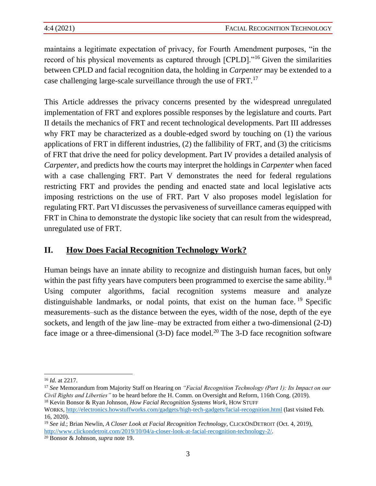maintains a legitimate expectation of privacy, for Fourth Amendment purposes, "in the record of his physical movements as captured through [CPLD]."<sup>16</sup> Given the similarities between CPLD and facial recognition data, the holding in *Carpenter* may be extended to a case challenging large-scale surveillance through the use of FRT.<sup>17</sup>

This Article addresses the privacy concerns presented by the widespread unregulated implementation of FRT and explores possible responses by the legislature and courts. Part II details the mechanics of FRT and recent technological developments. Part III addresses why FRT may be characterized as a double-edged sword by touching on (1) the various applications of FRT in different industries, (2) the fallibility of FRT, and (3) the criticisms of FRT that drive the need for policy development. Part IV provides a detailed analysis of *Carpenter*, and predicts how the courts may interpret the holdings in *Carpenter* when faced with a case challenging FRT. Part V demonstrates the need for federal regulations restricting FRT and provides the pending and enacted state and local legislative acts imposing restrictions on the use of FRT. Part V also proposes model legislation for regulating FRT. Part VI discusses the pervasiveness of surveillance cameras equipped with FRT in China to demonstrate the dystopic like society that can result from the widespread, unregulated use of FRT.

# **II. How Does Facial Recognition Technology Work?**

Human beings have an innate ability to recognize and distinguish human faces, but only within the past fifty years have computers been programmed to exercise the same ability.<sup>18</sup> Using computer algorithms, facial recognition systems measure and analyze distinguishable landmarks, or nodal points, that exist on the human face. <sup>19</sup> Specific measurements–such as the distance between the eyes, width of the nose, depth of the eye sockets, and length of the jaw line–may be extracted from either a two-dimensional (2-D) face image or a three-dimensional  $(3-D)$  face model.<sup>20</sup> The 3-D face recognition software

<sup>16</sup> *Id.* at 2217.

<sup>17</sup> *See* Memorandum from Majority Staff on Hearing on *"Facial Recognition Technology (Part 1): Its Impact on our Civil Rights and Liberties"* to be heard before the H. Comm. on Oversight and Reform, 116th Cong. (2019).

<sup>18</sup> Kevin Bonsor & Ryan Johnson, *How Facial Recognition Systems Work*, HOW STUFF WORKS, <http://electronics.howstuffworks.com/gadgets/high-tech-gadgets/facial-recognition.html> (last visited Feb. 16, 2020).

<sup>19</sup> *See id.*; Brian Newlin, *A Closer Look at Facial Recognition Technology*, CLICKONDETROIT (Oct. 4, 2019), [http://www.clickondetroit.com/2019/10/04/a-closer-look-at-facial-recognition-technology-2/.](http://www.clickondetroit.com/2019/10/04/a-closer-look-at-facial-recognition-technology-2/)

<sup>20</sup> Bonsor & Johnson, *supra* note 19.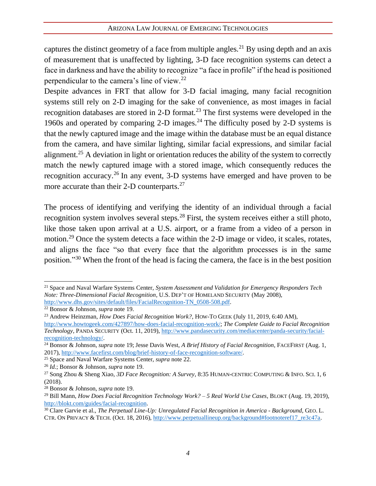captures the distinct geometry of a face from multiple angles.<sup>21</sup> By using depth and an axis of measurement that is unaffected by lighting, 3-D face recognition systems can detect a face in darkness and have the ability to recognize "a face in profile" if the head is positioned perpendicular to the camera's line of view.<sup>22</sup>

Despite advances in FRT that allow for 3-D facial imaging, many facial recognition systems still rely on 2-D imaging for the sake of convenience, as most images in facial recognition databases are stored in 2-D format.<sup>23</sup> The first systems were developed in the 1960s and operated by comparing 2-D images.<sup>24</sup> The difficulty posed by 2-D systems is that the newly captured image and the image within the database must be an equal distance from the camera, and have similar lighting, similar facial expressions, and similar facial alignment.<sup>25</sup> A deviation in light or orientation reduces the ability of the system to correctly match the newly captured image with a stored image, which consequently reduces the recognition accuracy.<sup>26</sup> In any event, 3-D systems have emerged and have proven to be more accurate than their 2-D counterparts.<sup>27</sup>

The process of identifying and verifying the identity of an individual through a facial recognition system involves several steps.<sup>28</sup> First, the system receives either a still photo, like those taken upon arrival at a U.S. airport, or a frame from a video of a person in motion.<sup>29</sup> Once the system detects a face within the 2-D image or video, it scales, rotates, and aligns the face "so that every face that the algorithm processes is in the same position."<sup>30</sup> When the front of the head is facing the camera, the face is in the best position

<sup>21</sup> Space and Naval Warfare Systems Center, *System Assessment and Validation for Emergency Responders Tech Note: Three-Dimensional Facial Recognition*, U.S. DEP'T OF HOMELAND SECURITY (May 2008), [http://www.dhs.gov/sites/default/files/FacialRecognition-TN\\_0508-508.pdf.](http://www.dhs.gov/sites/default/files/FacialRecognition-TN_0508-508.pdf) 

<sup>22</sup> Bonsor & Johnson, *supra* note 19.

<sup>23</sup> Andrew Heinzman, *How Does Facial Recognition Work?*, HOW-TO GEEK (July 11, 2019, 6:40 AM),

[http://www.howtogeek.com/427897/how-does-facial-recognition-work/;](http://www.howtogeek.com/427897/how-does-facial-recognition-work/) *The Complete Guide to Facial Recognition Technology*, PANDA SECURITY (Oct. 11, 2019), [http://www.pandasecurity.com/mediacenter/panda-security/facial](http://www.pandasecurity.com/mediacenter/panda-security/facial-recognition-technology/)[recognition-technology/.](http://www.pandasecurity.com/mediacenter/panda-security/facial-recognition-technology/)

<sup>24</sup> Bonsor & Johnson, *supra* note 19; Jesse Davis West, *A Brief History of Facial Recognition*, FACEFIRST (Aug. 1, 2017), [http://www.facefirst.com/blog/brief-history-of-face-recognition-software/.](http://www.facefirst.com/blog/brief-history-of-face-recognition-software/)

<sup>25</sup> Space and Naval Warfare Systems Center, *supra* note 22.

<sup>26</sup> *Id.*; Bonsor & Johnson, *supra* note 19.

<sup>27</sup> Song Zhou & Sheng Xiao, *3D Face Recognition: A Survey*, 8:35 HUMAN-CENTRIC COMPUTING & INFO.SCI. 1, 6 (2018).

<sup>28</sup> Bonsor & Johnson, *supra* note 19.

<sup>29</sup> Bill Mann, *How Does Facial Recognition Technology Work? – 5 Real World Use Cases*, BLOKT (Aug. 19, 2019), [http://blokt.com/guides/facial-recognition.](http://blokt.com/guides/facial-recognition)

<sup>30</sup> Clare Garvie et al., *The Perpetual Line-Up: Unregulated Facial Recognition in America - Background*, GEO. L. CTR. ON PRIVACY & TECH. (Oct. 18, 2016)[, http://www.perpetuallineup.org/background#footnoteref17\\_re3c47a.](http://www.perpetuallineup.org/background#footnoteref17_re3c47a)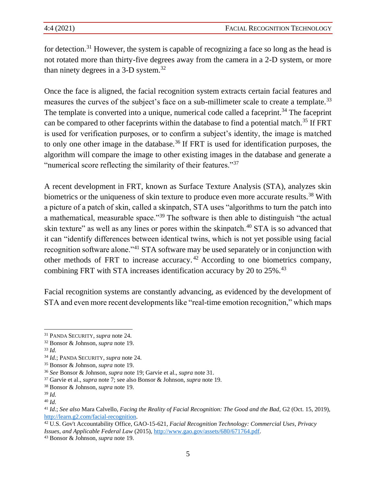for detection.<sup>31</sup> However, the system is capable of recognizing a face so long as the head is not rotated more than thirty-five degrees away from the camera in a 2-D system, or more than ninety degrees in a 3-D system.<sup>32</sup>

Once the face is aligned, the facial recognition system extracts certain facial features and measures the curves of the subject's face on a sub-millimeter scale to create a template.<sup>33</sup> The template is converted into a unique, numerical code called a faceprint.<sup>34</sup> The faceprint can be compared to other faceprints within the database to find a potential match.<sup>35</sup> If FRT is used for verification purposes, or to confirm a subject's identity, the image is matched to only one other image in the database.<sup>36</sup> If FRT is used for identification purposes, the algorithm will compare the image to other existing images in the database and generate a "numerical score reflecting the similarity of their features."<sup>37</sup>

A recent development in FRT, known as Surface Texture Analysis (STA), analyzes skin biometrics or the uniqueness of skin texture to produce even more accurate results.<sup>38</sup> With a picture of a patch of skin, called a skinpatch, STA uses "algorithms to turn the patch into a mathematical, measurable space."<sup>39</sup> The software is then able to distinguish "the actual skin texture" as well as any lines or pores within the skinpatch.<sup>40</sup> STA is so advanced that it can "identify differences between identical twins, which is not yet possible using facial recognition software alone."<sup>41</sup> STA software may be used separately or in conjunction with other methods of FRT to increase accuracy. <sup>42</sup> According to one biometrics company, combining FRT with STA increases identification accuracy by 20 to 25%.<sup>43</sup>

Facial recognition systems are constantly advancing, as evidenced by the development of STA and even more recent developments like "real-time emotion recognition," which maps

<sup>31</sup> PANDA SECURITY, *supra* note 24.

<sup>32</sup> Bonsor & Johnson, *supra* note 19.

<sup>33</sup> *Id.* 

<sup>34</sup> *Id.*; PANDA SECURITY, *supra* note 24.

<sup>35</sup> Bonsor & Johnson, *supra* note 19.

<sup>36</sup> *See* Bonsor & Johnson, *supra* note 19; Garvie et al., *supra* note 31.

<sup>37</sup> Garvie et al., *supra* note 7; see also Bonsor & Johnson, *supra* note 19.

<sup>38</sup> Bonsor & Johnson, *supra* note 19.

<sup>39</sup> *Id.*

<sup>40</sup> *Id.*

<sup>41</sup> *Id*.; *See also* Mara Calvello, *Facing the Reality of Facial Recognition: The Good and the Bad*, G2 (Oct. 15, 2019), [http://learn.g2.com/facial-recognition.](http://learn.g2.com/facial-recognition)

<sup>42</sup> U.S. Gov't Accountability Office, GAO-15-621, *Facial Recognition Technology: Commercial Uses, Privacy Issues, and Applicable Federal Law* (2015), [http://www.gao.gov/assets/680/671764.pdf.](http://www.gao.gov/assets/680/671764.pdf)

<sup>43</sup> Bonsor & Johnson, *supra* note 19.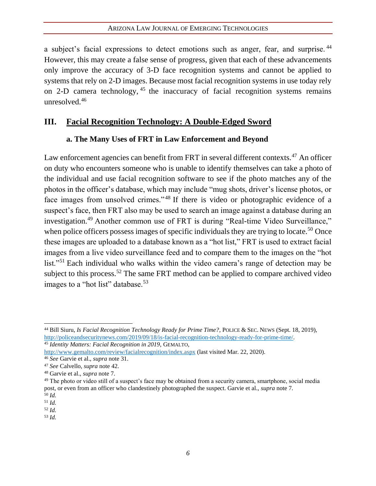a subject's facial expressions to detect emotions such as anger, fear, and surprise.<sup>44</sup> However, this may create a false sense of progress, given that each of these advancements only improve the accuracy of 3-D face recognition systems and cannot be applied to systems that rely on 2-D images. Because most facial recognition systems in use today rely on 2-D camera technology,  $45$  the inaccuracy of facial recognition systems remains unresolved.<sup>46</sup>

## **III. Facial Recognition Technology: A Double-Edged Sword**

#### **a. The Many Uses of FRT in Law Enforcement and Beyond**

Law enforcement agencies can benefit from FRT in several different contexts.<sup>47</sup> An officer on duty who encounters someone who is unable to identify themselves can take a photo of the individual and use facial recognition software to see if the photo matches any of the photos in the officer's database, which may include "mug shots, driver's license photos, or face images from unsolved crimes."<sup>48</sup> If there is video or photographic evidence of a suspect's face, then FRT also may be used to search an image against a database during an investigation.<sup>49</sup> Another common use of FRT is during "Real-time Video Surveillance," when police officers possess images of specific individuals they are trying to locate.<sup>50</sup> Once these images are uploaded to a database known as a "hot list," FRT is used to extract facial images from a live video surveillance feed and to compare them to the images on the "hot list."<sup>51</sup> Each individual who walks within the video camera's range of detection may be subject to this process.<sup>52</sup> The same FRT method can be applied to compare archived video images to a "hot list" database.<sup>53</sup>

<sup>44</sup> Bill Siuru, *Is Facial Recognition Technology Ready for Prime Time?*, POLICE & SEC. NEWS (Sept. 18, 2019), [http://policeandsecuritynews.com/2019/09/18/is-facial-recognition-technology-ready-for-prime-time/.](http://policeandsecuritynews.com/2019/09/18/is-facial-recognition-technology-ready-for-prime-time/) <sup>45</sup> *Identity Matters: Facial Recognition in 2019*, GEMALTO,

<http://www.gemalto.com/review/facialrecognition/index.aspx> (last visited Mar. 22, 2020).

<sup>46</sup> *See* Garvie et al., *supra* note 31.

<sup>47</sup> *See* Calvello, *supra* note 42.

<sup>48</sup> Garvie et al., *supra* note 7.

<sup>&</sup>lt;sup>49</sup> The photo or video still of a suspect's face may be obtained from a security camera, smartphone, social media post, or even from an officer who clandestinely photographed the suspect. Garvie et al., *supra* note 7. <sup>50</sup> *Id.*

<sup>51</sup> *Id.*

<sup>52</sup> *Id.*

<sup>53</sup> *Id.*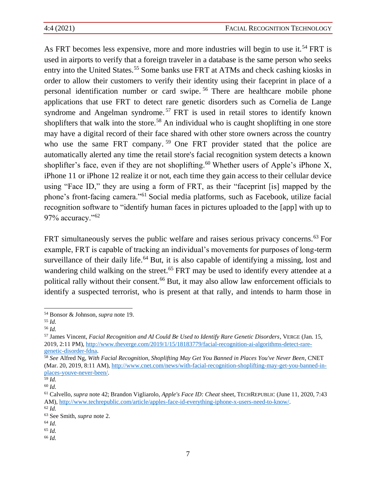As FRT becomes less expensive, more and more industries will begin to use it.<sup>54</sup> FRT is used in airports to verify that a foreign traveler in a database is the same person who seeks entry into the United States.<sup>55</sup> Some banks use FRT at ATMs and check cashing kiosks in order to allow their customers to verify their identity using their faceprint in place of a personal identification number or card swipe. <sup>56</sup> There are healthcare mobile phone applications that use FRT to detect rare genetic disorders such as Cornelia de Lange syndrome and Angelman syndrome.<sup>57</sup> FRT is used in retail stores to identify known shoplifters that walk into the store.<sup>58</sup> An individual who is caught shoplifting in one store may have a digital record of their face shared with other store owners across the country who use the same FRT company.<sup>59</sup> One FRT provider stated that the police are automatically alerted any time the retail store's facial recognition system detects a known shoplifter's face, even if they are not shoplifting.<sup>60</sup> Whether users of Apple's iPhone X, iPhone 11 or iPhone 12 realize it or not, each time they gain access to their cellular device using "Face ID," they are using a form of FRT, as their "faceprint [is] mapped by the phone's front-facing camera."<sup>61</sup> Social media platforms, such as Facebook, utilize facial recognition software to "identify human faces in pictures uploaded to the [app] with up to 97% accuracy."<sup>62</sup>

FRT simultaneously serves the public welfare and raises serious privacy concerns.<sup>63</sup> For example, FRT is capable of tracking an individual's movements for purposes of long-term surveillance of their daily life.<sup>64</sup> But, it is also capable of identifying a missing, lost and wandering child walking on the street.<sup>65</sup> FRT may be used to identify every attendee at a political rally without their consent.<sup>66</sup> But, it may also allow law enforcement officials to identify a suspected terrorist, who is present at that rally, and intends to harm those in

<sup>64</sup> *Id*.

<sup>66</sup> *Id.*

<sup>54</sup> Bonsor & Johnson, *supra* note 19.

<sup>55</sup> *Id.*

<sup>56</sup> *Id.*

<sup>57</sup> James Vincent, *Facial Recognition and AI Could Be Used to Identify Rare Genetic Disorders*, VERGE (Jan. 15, 2019, 2:11 PM), [http://www.theverge.com/2019/1/15/18183779/facial-recognition-ai-algorithms-detect-rare](http://www.theverge.com/2019/1/15/18183779/facial-recognition-ai-algorithms-detect-rare-genetic-disorder-fdna)[genetic-disorder-fdna.](http://www.theverge.com/2019/1/15/18183779/facial-recognition-ai-algorithms-detect-rare-genetic-disorder-fdna)

<sup>58</sup> *See* Alfred Ng, *With Facial Recognition, Shoplifting May Get You Banned in Places You've Never Been*, CNET (Mar. 20, 2019, 8:11 AM)[, http://www.cnet.com/news/with-facial-recognition-shoplifting-may-get-you-banned-in](http://www.cnet.com/news/with-facial-recognition-shoplifting-may-get-you-banned-in-places-youve-never-been/)[places-youve-never-been/.](http://www.cnet.com/news/with-facial-recognition-shoplifting-may-get-you-banned-in-places-youve-never-been/)

<sup>59</sup> *Id.*

<sup>60</sup> *Id.* 

<sup>61</sup> Calvello, *supra* note 42; Brandon Vigliarolo, *Apple's Face ID: Cheat* sheet, TECHREPUBLIC (June 11, 2020, 7:43 AM), [http://www.techrepublic.com/article/apples-face-id-everything-iphone-x-users-need-to-know/.](http://www.techrepublic.com/article/apples-face-id-everything-iphone-x-users-need-to-know/)

<sup>62</sup> *Id.*

<sup>63</sup> See Smith, *supra* note 2.

<sup>65</sup> *Id.*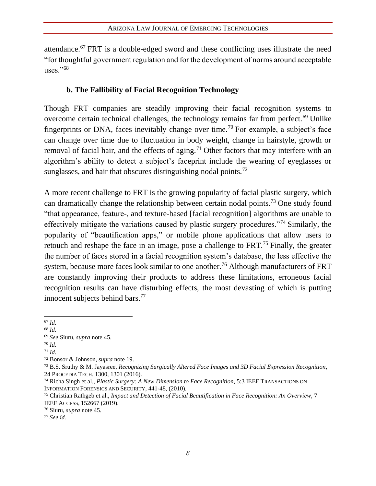attendance.<sup>67</sup> FRT is a double-edged sword and these conflicting uses illustrate the need "for thoughtful government regulation and for the development of norms around acceptable uses." $68$ 

### **b. The Fallibility of Facial Recognition Technology**

Though FRT companies are steadily improving their facial recognition systems to overcome certain technical challenges, the technology remains far from perfect.<sup>69</sup> Unlike fingerprints or DNA, faces inevitably change over time.<sup>70</sup> For example, a subject's face can change over time due to fluctuation in body weight, change in hairstyle, growth or removal of facial hair, and the effects of aging.<sup>71</sup> Other factors that may interfere with an algorithm's ability to detect a subject's faceprint include the wearing of eyeglasses or sunglasses, and hair that obscures distinguishing nodal points.<sup>72</sup>

A more recent challenge to FRT is the growing popularity of facial plastic surgery, which can dramatically change the relationship between certain nodal points.<sup>73</sup> One study found "that appearance, feature-, and texture-based [facial recognition] algorithms are unable to effectively mitigate the variations caused by plastic surgery procedures."<sup>74</sup> Similarly, the popularity of "beautification apps," or mobile phone applications that allow users to retouch and reshape the face in an image, pose a challenge to FRT.<sup>75</sup> Finally, the greater the number of faces stored in a facial recognition system's database, the less effective the system, because more faces look similar to one another.<sup>76</sup> Although manufacturers of FRT are constantly improving their products to address these limitations, erroneous facial recognition results can have disturbing effects, the most devasting of which is putting innocent subjects behind bars.<sup>77</sup>

- <sup>70</sup> *Id.*
- <sup>71</sup> *Id.*

<sup>67</sup> *Id.*

<sup>68</sup> *Id.*

<sup>69</sup> *See* Siuru, *supra* note 45.

<sup>72</sup> Bonsor & Johnson, *supra* note 19.

<sup>73</sup> B.S. Sruthy & M. Jayasree, *Recognizing Surgically Altered Face Images and 3D Facial Expression Recognition*, 24 PROCEDIA TECH. 1300, 1301 (2016).

<sup>74</sup> Richa Singh et al., *Plastic Surgery: A New Dimension to Face Recognition*, 5:3 IEEE TRANSACTIONS ON INFORMATION FORENSICS AND SECURITY, 441-48, (2010).

<sup>75</sup> Christian Rathgeb et al., *Impact and Detection of Facial Beautification in Face Recognition: An Overview*, 7 IEEE ACCESS, 152667 (2019).

<sup>76</sup> Siuru, *supra* note 45.

<sup>77</sup> *See id.*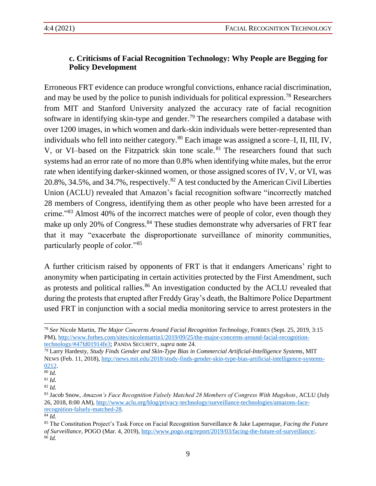## **c. Criticisms of Facial Recognition Technology: Why People are Begging for Policy Development**

Erroneous FRT evidence can produce wrongful convictions, enhance racial discrimination, and may be used by the police to punish individuals for political expression.<sup>78</sup> Researchers from MIT and Stanford University analyzed the accuracy rate of facial recognition software in identifying skin-type and gender.<sup>79</sup> The researchers compiled a database with over 1200 images, in which women and dark-skin individuals were better-represented than individuals who fell into neither category.<sup>80</sup> Each image was assigned a score–I, II, III, IV, V, or VI-based on the Fitzpatrick skin tone scale. <sup>81</sup> The researchers found that such systems had an error rate of no more than 0.8% when identifying white males, but the error rate when identifying darker-skinned women, or those assigned scores of IV, V, or VI, was 20.8%, 34.5%, and 34.7%, respectively. $82$  A test conducted by the American Civil Liberties Union (ACLU) revealed that Amazon's facial recognition software "incorrectly matched 28 members of Congress, identifying them as other people who have been arrested for a crime."<sup>83</sup> Almost 40% of the incorrect matches were of people of color, even though they make up only 20% of Congress.<sup>84</sup> These studies demonstrate why adversaries of FRT fear that it may "exacerbate the disproportionate surveillance of minority communities, particularly people of color."<sup>85</sup>

A further criticism raised by opponents of FRT is that it endangers Americans' right to anonymity when participating in certain activities protected by the First Amendment, such as protests and political rallies.<sup>86</sup> An investigation conducted by the ACLU revealed that during the protests that erupted after Freddy Gray's death, the Baltimore Police Department used FRT in conjunction with a social media monitoring service to arrest protesters in the

<sup>79</sup> Larry Hardesty, *Study Finds Gender and Skin-Type Bias in Commercial Artificial-Intelligence Systems*, MIT NEWS (Feb. 11, 2018), [http://news.mit.edu/2018/study-finds-gender-skin-type-bias-artificial-intelligence-systems-](http://news.mit.edu/2018/study-finds-gender-skin-type-bias-artificial-intelligence-systems-0212)[0212.](http://news.mit.edu/2018/study-finds-gender-skin-type-bias-artificial-intelligence-systems-0212)

<sup>78</sup> *See* Nicole Martin, *The Major Concerns Around Facial Recognition Technology*, FORBES (Sept. 25, 2019, 3:15 PM), [http://www.forbes.com/sites/nicolemartin1/2019/09/25/the-major-concerns-around-facial-recognition](http://www.forbes.com/sites/nicolemartin1/2019/09/25/the-major-concerns-around-facial-recognition-technology/#47fd01914fe3)[technology/#47fd01914fe3;](http://www.forbes.com/sites/nicolemartin1/2019/09/25/the-major-concerns-around-facial-recognition-technology/#47fd01914fe3) PANDA SECURITY, *supra* note 24.

<sup>80</sup> *Id.*

<sup>81</sup> *Id.*

<sup>82</sup> *Id.*

<sup>83</sup> Jacob Snow, *Amazon's Face Recognition Falsely Matched 28 Members of Congress With Mugshots*, ACLU (July 26, 2018, 8:00 AM)[, http://www.aclu.org/blog/privacy-technology/surveillance-technologies/amazons-face](http://www.aclu.org/blog/privacy-technology/surveillance-technologies/amazons-face-recognition-falsely-matched-28)[recognition-falsely-matched-28.](http://www.aclu.org/blog/privacy-technology/surveillance-technologies/amazons-face-recognition-falsely-matched-28)

<sup>84</sup> *Id.*

<sup>85</sup> The Constitution Project's Task Force on Facial Recognition Surveillance & Jake Laperruque, *Facing the Future of Surveillance*, POGO (Mar. 4, 2019), [http://www.pogo.org/report/2019/03/facing-the-future-of-surveillance/.](http://www.pogo.org/report/2019/03/facing-the-future-of-surveillance/) <sup>86</sup> *Id.*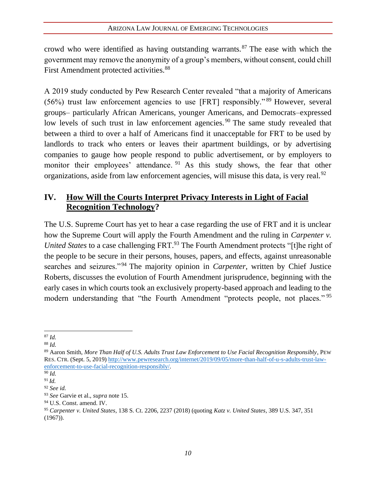crowd who were identified as having outstanding warrants.<sup>87</sup> The ease with which the government may remove the anonymity of a group's members, without consent, could chill First Amendment protected activities.<sup>88</sup>

A 2019 study conducted by Pew Research Center revealed "that a majority of Americans (56%) trust law enforcement agencies to use [FRT] responsibly." <sup>89</sup> However, several groups– particularly African Americans, younger Americans, and Democrats–expressed low levels of such trust in law enforcement agencies.<sup>90</sup> The same study revealed that between a third to over a half of Americans find it unacceptable for FRT to be used by landlords to track who enters or leaves their apartment buildings, or by advertising companies to gauge how people respond to public advertisement, or by employers to monitor their employees' attendance. <sup>91</sup> As this study shows, the fear that other organizations, aside from law enforcement agencies, will misuse this data, is very real.<sup>92</sup>

# **IV. How Will the Courts Interpret Privacy Interests in Light of Facial Recognition Technology?**

The U.S. Supreme Court has yet to hear a case regarding the use of FRT and it is unclear how the Supreme Court will apply the Fourth Amendment and the ruling in *Carpenter v. United States* to a case challenging FRT.<sup>93</sup> The Fourth Amendment protects "[t]he right of the people to be secure in their persons, houses, papers, and effects, against unreasonable searches and seizures."<sup>94</sup> The majority opinion in *Carpenter*, written by Chief Justice Roberts, discusses the evolution of Fourth Amendment jurisprudence, beginning with the early cases in which courts took an exclusively property-based approach and leading to the modern understanding that "the Fourth Amendment "protects people, not places."<sup>95</sup>

<sup>87</sup> *Id.*

<sup>88</sup> *Id.*

<sup>89</sup> Aaron Smith, *More Than Half of U.S. Adults Trust Law Enforcement to Use Facial Recognition Responsibly*, PEW RES. CTR. (Sept. 5, 2019) [http://www.pewresearch.org/internet/2019/09/05/more-than-half-of-u-s-adults-trust-law](http://www.pewresearch.org/internet/2019/09/05/more-than-half-of-u-s-adults-trust-law-enforcement-to-use-facial-recognition-responsibly/)[enforcement-to-use-facial-recognition-responsibly/.](http://www.pewresearch.org/internet/2019/09/05/more-than-half-of-u-s-adults-trust-law-enforcement-to-use-facial-recognition-responsibly/)

<sup>90</sup> *Id.*

<sup>91</sup> *Id.* <sup>92</sup> *See id.*

<sup>93</sup> *See* Garvie et al., *supra* note 15.

<sup>94</sup> U.S. Const. amend. IV.

<sup>95</sup> *Carpenter v. United States*, 138 S. Ct. 2206, 2237 (2018) (quoting *Katz v. United States,* 389 U.S. 347, 351 (1967)).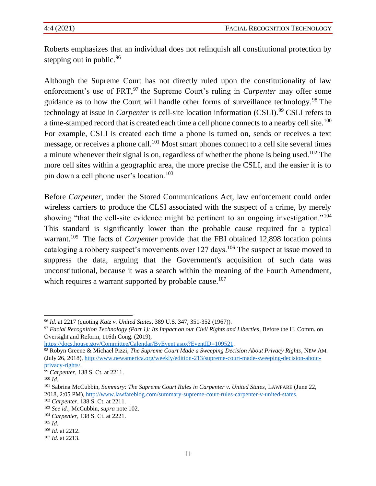Roberts emphasizes that an individual does not relinquish all constitutional protection by stepping out in public.<sup>96</sup>

Although the Supreme Court has not directly ruled upon the constitutionality of law enforcement's use of FRT,<sup>97</sup> the Supreme Court's ruling in *Carpenter* may offer some guidance as to how the Court will handle other forms of surveillance technology.<sup>98</sup> The technology at issue in *Carpenter* is cell-site location information (CSLI).<sup>99</sup> CSLI refers to a time-stamped record that is created each time a cell phone connects to a nearby cell site.<sup>100</sup> For example, CSLI is created each time a phone is turned on, sends or receives a text message, or receives a phone call.<sup>101</sup> Most smart phones connect to a cell site several times a minute whenever their signal is on, regardless of whether the phone is being used.<sup>102</sup> The more cell sites within a geographic area, the more precise the CSLI, and the easier it is to pin down a cell phone user's location.<sup>103</sup>

Before *Carpenter*, under the Stored Communications Act, law enforcement could order wireless carriers to produce the CLSI associated with the suspect of a crime, by merely showing "that the cell-site evidence might be pertinent to an ongoing investigation."<sup>104</sup> This standard is significantly lower than the probable cause required for a typical warrant.<sup>105</sup> The facts of *Carpenter* provide that the FBI obtained 12,898 location points cataloging a robbery suspect's movements over 127 days.<sup>106</sup> The suspect at issue moved to suppress the data, arguing that the Government's acquisition of such data was unconstitutional, because it was a search within the meaning of the Fourth Amendment, which requires a warrant supported by probable cause.<sup>107</sup>

<sup>98</sup> Robyn Greene & Michael Pizzi, *The Supreme Court Made a Sweeping Decision About Privacy Rights*, NEW AM. (July 26, 2018), [http://www.newamerica.org/weekly/edition-213/supreme-court-made-sweeping-decision-about](http://www.newamerica.org/weekly/edition-213/supreme-court-made-sweeping-decision-about-privacy-rights/)[privacy-rights/.](http://www.newamerica.org/weekly/edition-213/supreme-court-made-sweeping-decision-about-privacy-rights/)

<sup>96</sup> *Id.* at 2217 (quoting *Katz v. United States,* 389 U.S. 347, 351-352 (1967)).

<sup>97</sup> *Facial Recognition Technology (Part 1): Its Impact on our Civil Rights and Liberties*, Before the H. Comm. on Oversight and Reform, 116th Cong. (2019),

[https://docs.house.gov/Committee/Calendar/ByEvent.aspx?EventID=109521.](https://docs.house.gov/Committee/Calendar/ByEvent.aspx?EventID=109521)

<sup>99</sup> *Carpenter*, 138 S. Ct. at 2211.

<sup>100</sup> *Id.*

<sup>101</sup> Sabrina McCubbin, *Summary: The Supreme Court Rules in Carpenter v. United States*, LAWFARE (June 22, 2018, 2:05 PM), [http://www.lawfareblog.com/summary-supreme-court-rules-carpenter-v-united-states.](http://www.lawfareblog.com/summary-supreme-court-rules-carpenter-v-united-states)

<sup>102</sup> *Carpenter*, 138 S. Ct. at 2211.

<sup>103</sup> *See id.*; McCubbin, *supra* note 102.

<sup>104</sup> *Carpenter*, 138 S. Ct. at 2221.

<sup>105</sup> *Id.*

<sup>106</sup> *Id.* at 2212.

<sup>107</sup> *Id.* at 2213.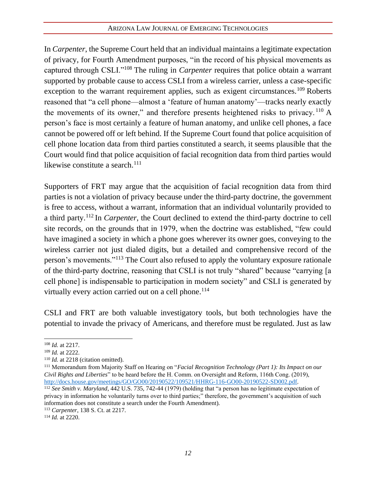In *Carpenter*, the Supreme Court held that an individual maintains a legitimate expectation of privacy, for Fourth Amendment purposes, "in the record of his physical movements as captured through CSLI."<sup>108</sup> The ruling in *Carpenter* requires that police obtain a warrant supported by probable cause to access CSLI from a wireless carrier, unless a case-specific exception to the warrant requirement applies, such as exigent circumstances.<sup>109</sup> Roberts reasoned that "a cell phone—almost a 'feature of human anatomy'—tracks nearly exactly the movements of its owner," and therefore presents heightened risks to privacy.  $^{110}$  A person's face is most certainly a feature of human anatomy, and unlike cell phones, a face cannot be powered off or left behind. If the Supreme Court found that police acquisition of cell phone location data from third parties constituted a search, it seems plausible that the Court would find that police acquisition of facial recognition data from third parties would likewise constitute a search.<sup>111</sup>

Supporters of FRT may argue that the acquisition of facial recognition data from third parties is not a violation of privacy because under the third-party doctrine, the government is free to access, without a warrant, information that an individual voluntarily provided to a third party.<sup>112</sup> In *Carpenter*, the Court declined to extend the third-party doctrine to cell site records, on the grounds that in 1979, when the doctrine was established, "few could have imagined a society in which a phone goes wherever its owner goes, conveying to the wireless carrier not just dialed digits, but a detailed and comprehensive record of the person's movements."<sup>113</sup> The Court also refused to apply the voluntary exposure rationale of the third-party doctrine, reasoning that CSLI is not truly "shared" because "carrying [a cell phone] is indispensable to participation in modern society" and CSLI is generated by virtually every action carried out on a cell phone.<sup>114</sup>

CSLI and FRT are both valuable investigatory tools, but both technologies have the potential to invade the privacy of Americans, and therefore must be regulated. Just as law

<sup>108</sup> *Id.* at 2217.

<sup>109</sup> *Id.* at 2222.

<sup>&</sup>lt;sup>110</sup> *Id.* at 2218 (citation omitted).

<sup>111</sup> Memorandum from Majority Staff on Hearing on "*Facial Recognition Technology (Part 1): Its Impact on our Civil Rights and Liberties*" to be heard before the H. Comm. on Oversight and Reform, 116th Cong. (2019), [http://docs.house.gov/meetings/GO/GO00/20190522/109521/HHRG-116-GO00-20190522-SD002.pdf.](http://docs.house.gov/meetings/GO/GO00/20190522/109521/HHRG-116-GO00-20190522-SD002.pdf)

<sup>112</sup> *See Smith v. Maryland*, 442 U.S. 735, 742-44 (1979) (holding that "a person has no legitimate expectation of privacy in information he voluntarily turns over to third parties;" therefore, the government's acquisition of such information does not constitute a search under the Fourth Amendment).

<sup>113</sup> *Carpenter*, 138 S. Ct. at 2217.

<sup>114</sup> *Id.* at 2220.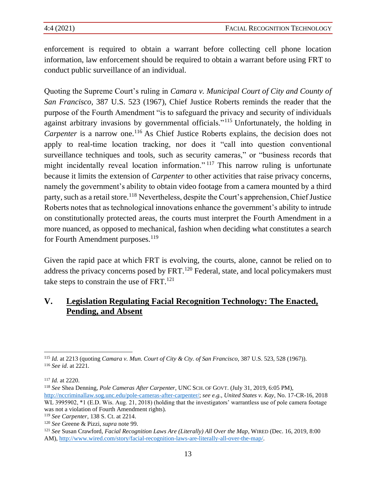enforcement is required to obtain a warrant before collecting cell phone location information, law enforcement should be required to obtain a warrant before using FRT to conduct public surveillance of an individual.

Quoting the Supreme Court's ruling in *Camara v. Municipal Court of City and County of San Francisco*, 387 U.S. 523 (1967), Chief Justice Roberts reminds the reader that the purpose of the Fourth Amendment "is to safeguard the privacy and security of individuals against arbitrary invasions by governmental officials."<sup>115</sup> Unfortunately, the holding in *Carpenter* is a narrow one.<sup>116</sup> As Chief Justice Roberts explains, the decision does not apply to real-time location tracking, nor does it "call into question conventional surveillance techniques and tools, such as security cameras," or "business records that might incidentally reveal location information."<sup>117</sup> This narrow ruling is unfortunate because it limits the extension of *Carpenter* to other activities that raise privacy concerns, namely the government's ability to obtain video footage from a camera mounted by a third party, such as a retail store.<sup>118</sup> Nevertheless, despite the Court's apprehension, Chief Justice Roberts notes that as technological innovations enhance the government's ability to intrude on constitutionally protected areas, the courts must interpret the Fourth Amendment in a more nuanced, as opposed to mechanical, fashion when deciding what constitutes a search for Fourth Amendment purposes.<sup>119</sup>

Given the rapid pace at which FRT is evolving, the courts, alone, cannot be relied on to address the privacy concerns posed by FRT.<sup>120</sup> Federal, state, and local policymakers must take steps to constrain the use of  $FRT$ .<sup>121</sup>

## **V. Legislation Regulating Facial Recognition Technology: The Enacted, Pending, and Absent**

<sup>115</sup> *Id.* at 2213 (quoting *Camara v. Mun. Court of City & Cty. of San Francisco*, 387 U.S. 523, 528 (1967)). <sup>116</sup> *See id*. at 2221*.*

<sup>117</sup> *Id.* at 2220.

<sup>118</sup> *See* Shea Denning, *Pole Cameras After Carpenter*, UNC SCH. OF GOVT. (July 31, 2019, 6:05 PM),

[http://nccriminallaw.sog.unc.edu/pole-cameras-after-carpenter/;](http://nccriminallaw.sog.unc.edu/pole-cameras-after-carpenter/) *see e.g.*, *United States v. Kay*, No. 17-CR-16, 2018 WL 3995902,  $*1$  (E.D. Wis. Aug. 21, 2018) (holding that the investigators' warrantless use of pole camera footage was not a violation of Fourth Amendment rights).

<sup>119</sup> *See Carpenter*, 138 S. Ct. at 2214.

<sup>120</sup> *See* Greene & Pizzi, *supra* note 99.

<sup>121</sup> *See* Susan Crawford, *Facial Recognition Laws Are (Literally) All Over the Map*, WIRED (Dec. 16, 2019, 8:00 AM)[, http://www.wired.com/story/facial-recognition-laws-are-literally-all-over-the-map/.](http://www.wired.com/story/facial-recognition-laws-are-literally-all-over-the-map/)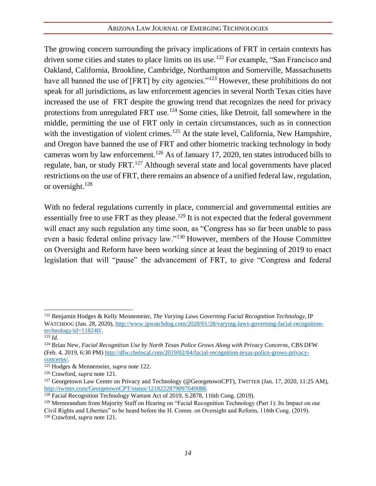The growing concern surrounding the privacy implications of FRT in certain contexts has driven some cities and states to place limits on its use.<sup>122</sup> For example, "San Francisco and Oakland, California, Brookline, Cambridge, Northampton and Somerville, Massachusetts have all banned the use of [FRT] by city agencies."<sup>123</sup> However, these prohibitions do not speak for all jurisdictions, as law enforcement agencies in several North Texas cities have increased the use of FRT despite the growing trend that recognizes the need for privacy protections from unregulated FRT use.<sup>124</sup> Some cities, like Detroit, fall somewhere in the middle, permitting the use of FRT only in certain circumstances, such as in connection with the investigation of violent crimes.<sup>125</sup> At the state level, California, New Hampshire, and Oregon have banned the use of FRT and other biometric tracking technology in body cameras worn by law enforcement.<sup>126</sup> As of January 17, 2020, ten states introduced bills to regulate, ban, or study FRT.<sup>127</sup> Although several state and local governments have placed restrictions on the use of FRT, there remains an absence of a unified federal law, regulation, or oversight. $128$ 

With no federal regulations currently in place, commercial and governmental entities are essentially free to use FRT as they please.<sup>129</sup> It is not expected that the federal government will enact any such regulation any time soon, as "Congress has so far been unable to pass even a basic federal online privacy law."<sup>130</sup> However, members of the House Committee on Oversight and Reform have been working since at least the beginning of 2019 to enact legislation that will "pause" the advancement of FRT, to give "Congress and federal

<sup>122</sup> Benjamin Hodges & Kelly Mennemeier, *The Varying Laws Governing Facial Recognition Technology*, IP WATCHDOG (Jan. 28, 2020), [http://www.ipwatchdog.com/2020/01/28/varying-laws-governing-facial-recognition](http://www.ipwatchdog.com/2020/01/28/varying-laws-governing-facial-recognition-technology/id=118240/)[technology/id=118240/.](http://www.ipwatchdog.com/2020/01/28/varying-laws-governing-facial-recognition-technology/id=118240/)

<sup>123</sup> *Id.*

<sup>124</sup> Brian New, *Facial Recognition Use by North Texas Police Grows Along with Privacy Concerns*, CBS DFW (Feb. 4, 2019, 6:30 PM) [http://dfw.cbslocal.com/2019/02/04/facial-recognition-texas-police-grows-privacy](http://dfw.cbslocal.com/2019/02/04/facial-recognition-texas-police-grows-privacy-concerns/)[concerns/.](http://dfw.cbslocal.com/2019/02/04/facial-recognition-texas-police-grows-privacy-concerns/)

<sup>125</sup> Hodges & Mennemeier, *supra* note 122.

<sup>126</sup> Crawford, *supra* note 121.

<sup>&</sup>lt;sup>127</sup> Georgetown Law Center on Privacy and Technology (@GeorgetownCPT), TWITTER (Jan. 17, 2020, 11:25 AM), [http://twitter.com/GeorgetownCPT/status/1218222879097049088.](http://twitter.com/GeorgetownCPT/status/1218222879097049088)

<sup>128</sup> Facial Recognition Technology Warrant Act of 2019, S.2878, 116th Cong. (2019).

<sup>&</sup>lt;sup>129</sup> Memorandum from Majority Staff on Hearing on "Facial Recognition Technology (Part 1): Its Impact on our Civil Rights and Liberties" to be heard before the H. Comm. on Oversight and Reform, 116th Cong. (2019).

<sup>130</sup> Crawford, *supra* note 121.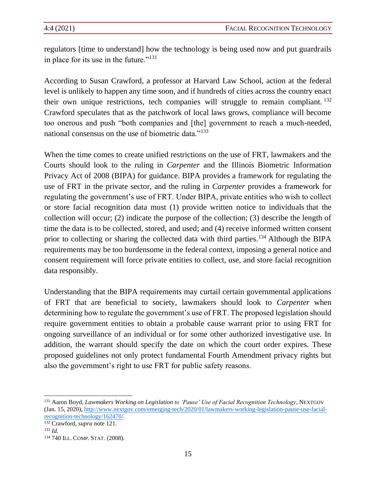regulators [time to understand] how the technology is being used now and put guardrails in place for its use in the future." $131$ 

According to Susan Crawford, a professor at Harvard Law School, action at the federal level is unlikely to happen any time soon, and if hundreds of cities across the country enact their own unique restrictions, tech companies will struggle to remain compliant. <sup>132</sup> Crawford speculates that as the patchwork of local laws grows, compliance will become too onerous and push "both companies and [the] government to reach a much-needed, national consensus on the use of biometric data."<sup>133</sup>

When the time comes to create unified restrictions on the use of FRT, lawmakers and the Courts should look to the ruling in *Carpenter* and the Illinois Biometric Information Privacy Act of 2008 (BIPA) for guidance. BIPA provides a framework for regulating the use of FRT in the private sector, and the ruling in *Carpenter* provides a framework for regulating the government's use of FRT. Under BIPA, private entities who wish to collect or store facial recognition data must (1) provide written notice to individuals that the collection will occur; (2) indicate the purpose of the collection; (3) describe the length of time the data is to be collected, stored, and used; and (4) receive informed written consent prior to collecting or sharing the collected data with third parties.<sup>134</sup> Although the BIPA requirements may be too burdensome in the federal context, imposing a general notice and consent requirement will force private entities to collect, use, and store facial recognition data responsibly.

Understanding that the BIPA requirements may curtail certain governmental applications of FRT that are beneficial to society, lawmakers should look to *Carpenter* when determining how to regulate the government's use of FRT. The proposed legislation should require government entities to obtain a probable cause warrant prior to using FRT for ongoing surveillance of an individual or for some other authorized investigative use. In addition, the warrant should specify the date on which the court order expires. These proposed guidelines not only protect fundamental Fourth Amendment privacy rights but also the government's right to use FRT for public safety reasons.

<sup>132</sup> Crawford, *supra* note 121. <sup>133</sup> *Id.*

<sup>131</sup> Aaron Boyd, *Lawmakers Working on Legislation to 'Pause' Use of Facial Recognition Technology*, NEXTGOV (Jan. 15, 2020), [http://www.nextgov.com/emerging-tech/2020/01/lawmakers-working-legislation-pause-use-facial](http://www.nextgov.com/emerging-tech/2020/01/lawmakers-working-legislation-pause-use-facial-recognition-technology/162470/)[recognition-technology/162470/.](http://www.nextgov.com/emerging-tech/2020/01/lawmakers-working-legislation-pause-use-facial-recognition-technology/162470/)

<sup>134</sup> 740 ILL. COMP.STAT. (2008).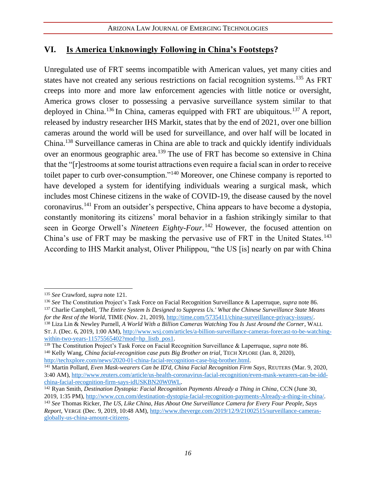## **VI. Is America Unknowingly Following in China's Footsteps?**

Unregulated use of FRT seems incompatible with American values, yet many cities and states have not created any serious restrictions on facial recognition systems.<sup>135</sup> As FRT creeps into more and more law enforcement agencies with little notice or oversight, America grows closer to possessing a pervasive surveillance system similar to that deployed in China.<sup>136</sup> In China, cameras equipped with FRT are ubiquitous.<sup>137</sup> A report, released by industry researcher IHS Markit, states that by the end of 2021, over one billion cameras around the world will be used for surveillance, and over half will be located in China.<sup>138</sup> Surveillance cameras in China are able to track and quickly identify individuals over an enormous geographic area.<sup>139</sup> The use of FRT has become so extensive in China that the "[r]estrooms at some tourist attractions even require a facial scan in order to receive toilet paper to curb over-consumption."<sup>140</sup> Moreover, one Chinese company is reported to have developed a system for identifying individuals wearing a surgical mask, which includes most Chinese citizens in the wake of COVID-19, the disease caused by the novel coronavirus.<sup>141</sup> From an outsider's perspective, China appears to have become a dystopia, constantly monitoring its citizens' moral behavior in a fashion strikingly similar to that seen in George Orwell's *Nineteen Eighty-Four*. <sup>142</sup> However, the focused attention on China's use of FRT may be masking the pervasive use of FRT in the United States.<sup>143</sup> According to IHS Markit analyst, Oliver Philippou, "the US [is] nearly on par with China

<sup>138</sup> Liza Lin & Newley Purnell, *A World With a Billion Cameras Watching You Is Just Around the Corner*, WALL ST. J. (Dec. 6, 2019, 1:00 AM), [http://www.wsj.com/articles/a-billion-surveillance-cameras-forecast-to-be-watching](http://www.wsj.com/articles/a-billion-surveillance-cameras-forecast-to-be-watching-within-two-years-11575565402?mod=hp_listb_pos1)[within-two-years-11575565402?mod=hp\\_listb\\_pos1.](http://www.wsj.com/articles/a-billion-surveillance-cameras-forecast-to-be-watching-within-two-years-11575565402?mod=hp_listb_pos1)

<sup>135</sup> *See* Crawford, *supra* note 121.

<sup>136</sup> *See* The Constitution Project's Task Force on Facial Recognition Surveillance & Laperruque, *supra* note 86.

<sup>137</sup> Charlie Campbell, *'The Entire System Is Designed to Suppress Us.' What the Chinese Surveillance State Means for the Rest of the World*, TIME (Nov. 21, 2019)[, http://time.com/5735411/china-surveillance-privacy-issues/.](http://time.com/5735411/china-surveillance-privacy-issues/)

<sup>139</sup> The Constitution Project's Task Force on Facial Recognition Surveillance & Laperruque, *supra* note 86. <sup>140</sup> Kelly Wang, *China facial-recognition case puts Big Brother on trial*, TECH XPLORE (Jan. 8, 2020), [http://techxplore.com/news/2020-01-china-facial-recognition-case-big-brother.html.](http://techxplore.com/news/2020-01-china-facial-recognition-case-big-brother.html) 

<sup>141</sup> Martin Pollard, *Even Mask-wearers Can be ID'd, China Facial Recognition Firm Says*, REUTERS (Mar. 9, 2020, 3:40 AM)[, http://www.reuters.com/article/us-health-coronavirus-facial-recognition/even-mask-wearers-can-be-idd](http://www.reuters.com/article/us-health-coronavirus-facial-recognition/even-mask-wearers-can-be-idd-china-facial-recognition-firm-says-idUSKBN20W0WL)[china-facial-recognition-firm-says-idUSKBN20W0WL.](http://www.reuters.com/article/us-health-coronavirus-facial-recognition/even-mask-wearers-can-be-idd-china-facial-recognition-firm-says-idUSKBN20W0WL)

<sup>142</sup> Ryan Smith, *Destination Dystopia: Facial Recognition Payments Already a Thing in China*, CCN (June 30, 2019, 1:35 PM), [http://www.ccn.com/destination-dystopia-facial-recognition-payments-Already-a-thing-in-china/.](http://www.ccn.com/destination-dystopia-facial-recognition-payments-Already-a-thing-in-china/)

<sup>143</sup> *See* Thomas Ricker, *The US, Like China, Has About One Surveillance Camera for Every Four People, Says Report*, VERGE (Dec. 9, 2019, 10:48 AM), [http://www.theverge.com/2019/12/9/21002515/surveillance-cameras](http://www.theverge.com/2019/12/9/21002515/surveillance-cameras-globally-us-china-amount-citizens)[globally-us-china-amount-citizens.](http://www.theverge.com/2019/12/9/21002515/surveillance-cameras-globally-us-china-amount-citizens)